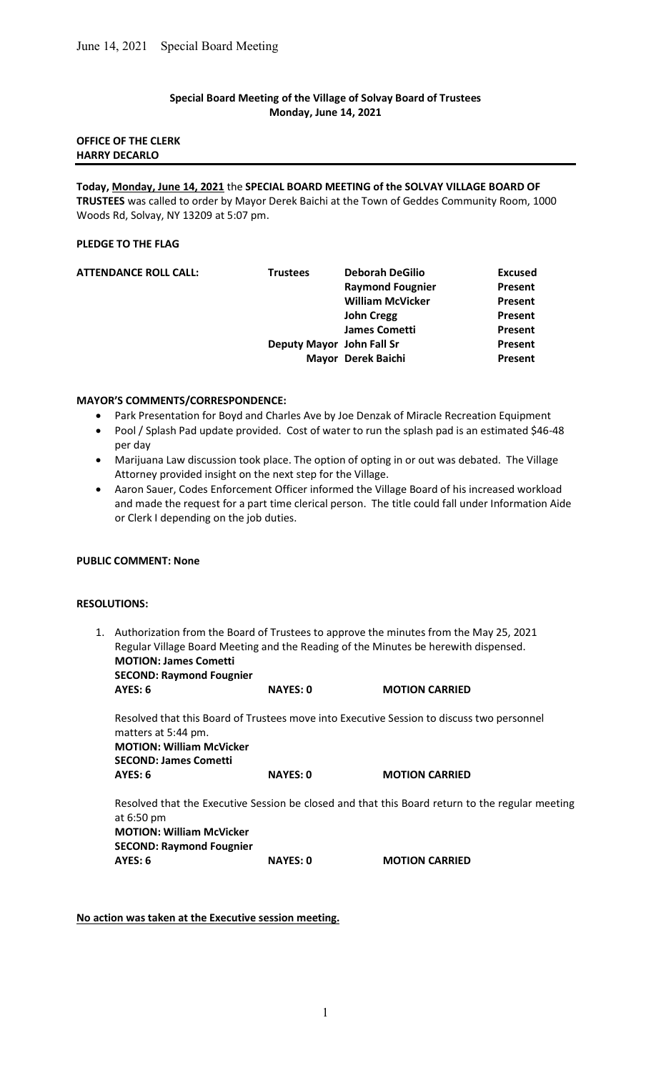### Special Board Meeting of the Village of Solvay Board of Trustees Monday, June 14, 2021

#### OFFICE OF THE CLERK HARRY DECARLO

Today, Monday, June 14, 2021 the SPECIAL BOARD MEETING of the SOLVAY VILLAGE BOARD OF TRUSTEES was called to order by Mayor Derek Baichi at the Town of Geddes Community Room, 1000 Woods Rd, Solvay, NY 13209 at 5:07 pm.

# PLEDGE TO THE FLAG

| <b>Trustees</b> | <b>Deborah DeGilio</b>  | <b>Excused</b>                                  |
|-----------------|-------------------------|-------------------------------------------------|
|                 | <b>Raymond Fougnier</b> | Present                                         |
|                 | <b>William McVicker</b> | Present                                         |
|                 | <b>John Cregg</b>       | Present                                         |
|                 | <b>James Cometti</b>    | Present                                         |
|                 |                         | Present                                         |
|                 |                         | Present                                         |
|                 |                         | Deputy Mayor John Fall Sr<br>Mayor Derek Baichi |

#### MAYOR'S COMMENTS/CORRESPONDENCE:

- Park Presentation for Boyd and Charles Ave by Joe Denzak of Miracle Recreation Equipment
- Pool / Splash Pad update provided. Cost of water to run the splash pad is an estimated \$46-48 per day
- Marijuana Law discussion took place. The option of opting in or out was debated. The Village Attorney provided insight on the next step for the Village.
- Aaron Sauer, Codes Enforcement Officer informed the Village Board of his increased workload and made the request for a part time clerical person. The title could fall under Information Aide or Clerk I depending on the job duties.

#### PUBLIC COMMENT: None

#### RESOLUTIONS:

1. Authorization from the Board of Trustees to approve the minutes from the May 25, 2021 Regular Village Board Meeting and the Reading of the Minutes be herewith dispensed. MOTION: James Cometti SECOND: Raymond Fougnier

AYES: 6 NAYES: 0 MOTION CARRIED

 Resolved that this Board of Trustees move into Executive Session to discuss two personnel matters at 5:44 pm. MOTION: William McVicker SECOND: James Cometti AYES: 6 NAYES: 0 MOTION CARRIED Resolved that the Executive Session be closed and that this Board return to the regular meeting at 6:50 pm MOTION: William McVicker

SECOND: Raymond Fougnier

AYES: 6 NAYES: 0 MOTION CARRIED

No action was taken at the Executive session meeting.